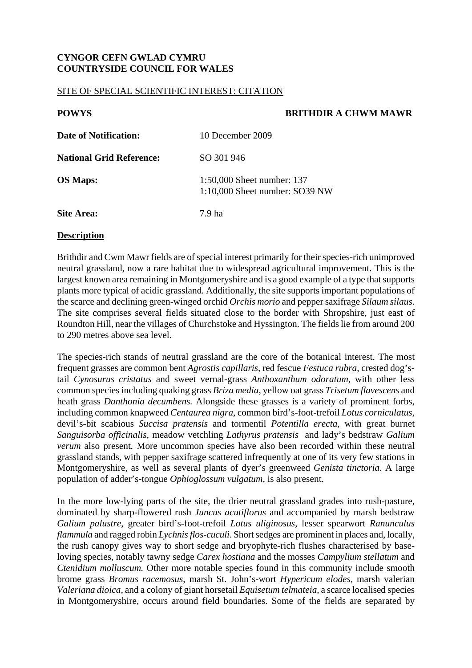# **CYNGOR CEFN GWLAD CYMRU COUNTRYSIDE COUNCIL FOR WALES**

#### SITE OF SPECIAL SCIENTIFIC INTEREST: CITATION

## **POWYS BRITHDIR A CHWM MAWR**

| Date of Notification:           | 10 December 2009                                               |
|---------------------------------|----------------------------------------------------------------|
| <b>National Grid Reference:</b> | SO 301 946                                                     |
| <b>OS Maps:</b>                 | 1:50,000 Sheet number: 137<br>$1:10,000$ Sheet number: SO39 NW |
| Site Area:                      | 7.9 ha                                                         |

#### **Description**

Brithdir and Cwm Mawr fields are of special interest primarily for their species-rich unimproved neutral grassland*,* now a rare habitat due to widespread agricultural improvement. This is the largest known area remaining in Montgomeryshire and is a good example of a type that supports plants more typical of acidic grassland*.* Additionally, the site supports important populations of the scarce and declining green-winged orchid *Orchis morio* and pepper saxifrage *Silaum silaus*. The site comprises several fields situated close to the border with Shropshire, just east of Roundton Hill, near the villages of Churchstoke and Hyssington. The fields lie from around 200 to 290 metres above sea level.

The species-rich stands of neutral grassland are the core of the botanical interest. The most frequent grasses are common bent *Agrostis capillaris,* red fescue *Festuca rubra*, crested dog'stail *Cynosurus cristatus* and sweet vernal-grass *Anthoxanthum odoratum,* with other less common species including quaking grass *Briza media*, yellow oat grass *Trisetum flavescens* and heath grass *Danthonia decumbens.* Alongside these grasses is a variety of prominent forbs, including common knapweed *Centaurea nigra*, common bird's-foot-trefoil *Lotus corniculatus,*  devil's-bit scabious *Succisa pratensis* and tormentil *Potentilla erecta*, with great burnet *Sanguisorba officinalis,* meadow vetchling *Lathyrus pratensis* and lady's bedstraw *Galium verum* also present*.* More uncommon species have also been recorded within these neutral grassland stands, with pepper saxifrage scattered infrequently at one of its very few stations in Montgomeryshire, as well as several plants of dyer's greenweed *Genista tinctoria*. A large population of adder's-tongue *Ophioglossum vulgatum,* is also present.

In the more low-lying parts of the site, the drier neutral grassland grades into rush-pasture, dominated by sharp-flowered rush *Juncus acutiflorus* and accompanied by marsh bedstraw *Galium palustre*, greater bird's-foot-trefoil *Lotus uliginosus*, lesser spearwort *Ranunculus flammula* and ragged robin *Lychnis flos-cuculi*. Short sedges are prominent in places and, locally, the rush canopy gives way to short sedge and bryophyte-rich flushes characterised by baseloving species, notably tawny sedge *Carex hostiana* and the mosses *Campylium stellatum* and *Ctenidium molluscum.* Other more notable species found in this community include smooth brome grass *Bromus racemosus*, marsh St. John's-wort *Hypericum elodes,* marsh valerian *Valeriana dioica,* and a colony of giant horsetail *Equisetum telmateia*, a scarce localised species in Montgomeryshire, occurs around field boundaries. Some of the fields are separated by